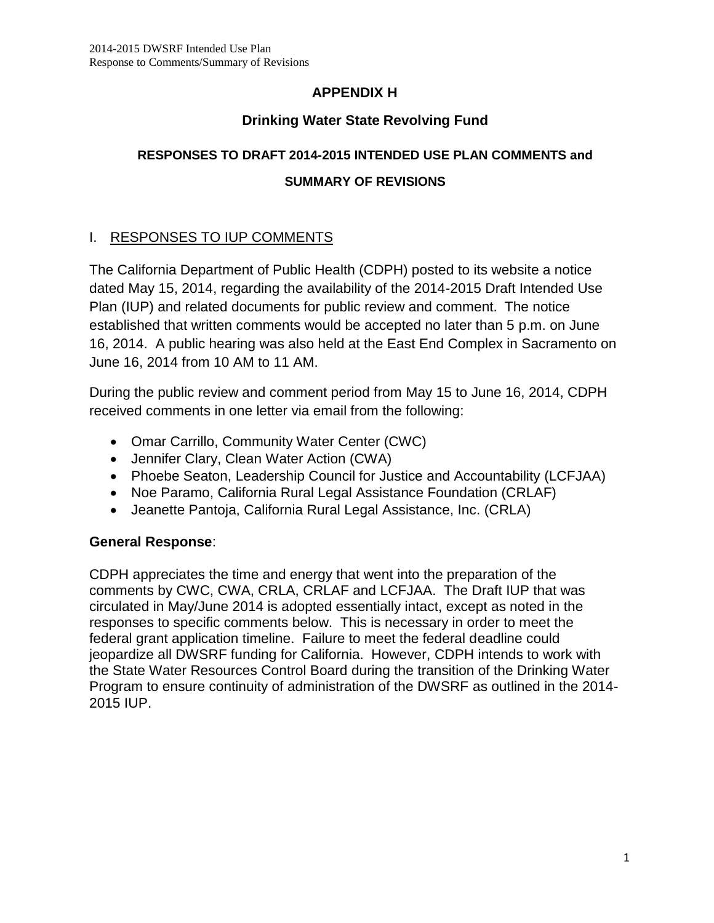# **APPENDIX H**

# **Drinking Water State Revolving Fund**

# **RESPONSES TO DRAFT 2014-2015 INTENDED USE PLAN COMMENTS and SUMMARY OF REVISIONS**

# I. RESPONSES TO IUP COMMENTS

The California Department of Public Health (CDPH) posted to its website a notice dated May 15, 2014, regarding the availability of the 2014-2015 Draft Intended Use Plan (IUP) and related documents for public review and comment. The notice established that written comments would be accepted no later than 5 p.m. on June 16, 2014. A public hearing was also held at the East End Complex in Sacramento on June 16, 2014 from 10 AM to 11 AM.

During the public review and comment period from May 15 to June 16, 2014, CDPH received comments in one letter via email from the following:

- Omar Carrillo, Community Water Center (CWC)
- Jennifer Clary, Clean Water Action (CWA)
- Phoebe Seaton, Leadership Council for Justice and Accountability (LCFJAA)
- Noe Paramo, California Rural Legal Assistance Foundation (CRLAF)
- Jeanette Pantoja, California Rural Legal Assistance, Inc. (CRLA)

# **General Response**:

CDPH appreciates the time and energy that went into the preparation of the comments by CWC, CWA, CRLA, CRLAF and LCFJAA. The Draft IUP that was circulated in May/June 2014 is adopted essentially intact, except as noted in the responses to specific comments below. This is necessary in order to meet the federal grant application timeline. Failure to meet the federal deadline could jeopardize all DWSRF funding for California. However, CDPH intends to work with the State Water Resources Control Board during the transition of the Drinking Water Program to ensure continuity of administration of the DWSRF as outlined in the 2014- 2015 IUP.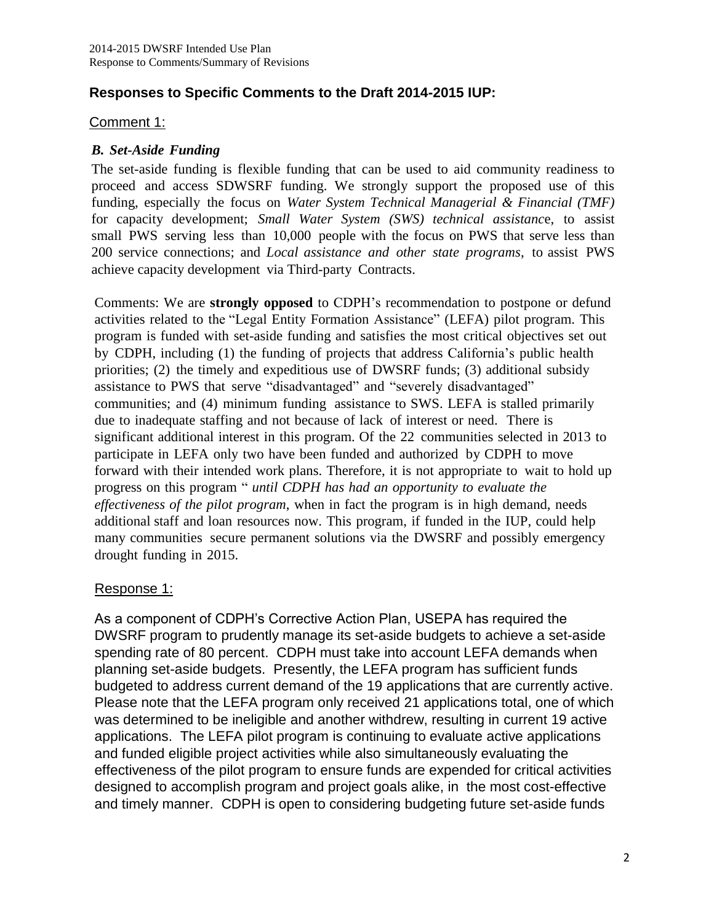# **Responses to Specific Comments to the Draft 2014-2015 IUP:**

#### Comment 1:

#### *B. Set-Aside Funding*

The set-aside funding is flexible funding that can be used to aid community readiness to proceed and access SDWSRF funding. We strongly support the proposed use of this funding, especially the focus on *Water System Technical Managerial & Financial (TMF)* for capacity development; *Small Water System (SWS) technical assistanc*e, to assist small PWS serving less than 10,000 people with the focus on PWS that serve less than 200 service connections; and *Local assistance and other state programs*, to assist PWS achieve capacity development via Third-party Contracts.

Comments: We are **strongly opposed** to CDPH's recommendation to postpone or defund activities related to the "Legal Entity Formation Assistance" (LEFA) pilot program. This program is funded with set-aside funding and satisfies the most critical objectives set out by CDPH, including (1) the funding of projects that address California's public health priorities; (2) the timely and expeditious use of DWSRF funds; (3) additional subsidy assistance to PWS that serve "disadvantaged" and "severely disadvantaged" communities; and (4) minimum funding assistance to SWS. LEFA is stalled primarily due to inadequate staffing and not because of lack of interest or need. There is significant additional interest in this program. Of the 22 communities selected in 2013 to participate in LEFA only two have been funded and authorized by CDPH to move forward with their intended work plans. Therefore, it is not appropriate to wait to hold up progress on this program " *until CDPH has had an opportunity to evaluate the effectiveness of the pilot program*, when in fact the program is in high demand, needs additional staff and loan resources now. This program, if funded in the IUP, could help many communities secure permanent solutions via the DWSRF and possibly emergency drought funding in 2015.

# Response 1:

As a component of CDPH's Corrective Action Plan, USEPA has required the DWSRF program to prudently manage its set-aside budgets to achieve a set-aside spending rate of 80 percent. CDPH must take into account LEFA demands when planning set-aside budgets. Presently, the LEFA program has sufficient funds budgeted to address current demand of the 19 applications that are currently active. Please note that the LEFA program only received 21 applications total, one of which was determined to be ineligible and another withdrew, resulting in current 19 active applications. The LEFA pilot program is continuing to evaluate active applications and funded eligible project activities while also simultaneously evaluating the effectiveness of the pilot program to ensure funds are expended for critical activities designed to accomplish program and project goals alike, in the most cost-effective and timely manner. CDPH is open to considering budgeting future set-aside funds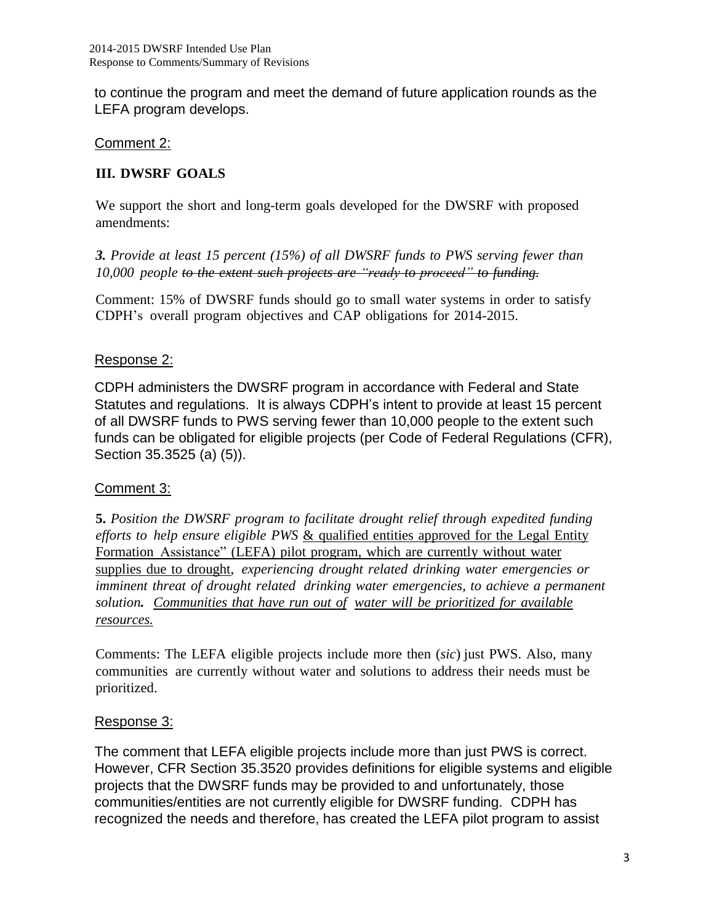to continue the program and meet the demand of future application rounds as the LEFA program develops.

# Comment 2:

# **III. DWSRF GOALS**

We support the short and long-term goals developed for the DWSRF with proposed amendments:

*3. Provide at least 15 percent (15%) of all DWSRF funds to PWS serving fewer than 10,000 people to the extent such projects are "ready to proceed" to funding.*

Comment: 15% of DWSRF funds should go to small water systems in order to satisfy CDPH's overall program objectives and CAP obligations for 2014-2015.

# Response 2:

CDPH administers the DWSRF program in accordance with Federal and State Statutes and regulations. It is always CDPH's intent to provide at least 15 percent of all DWSRF funds to PWS serving fewer than 10,000 people to the extent such funds can be obligated for eligible projects (per Code of Federal Regulations (CFR), Section 35.3525 (a) (5)).

# Comment 3:

**5.** *Position the DWSRF program to facilitate drought relief through expedited funding efforts to help ensure eligible PWS* & qualified entities approved for the Legal Entity Formation Assistance" (LEFA) pilot program, which are currently without water supplies due to drought*, experiencing drought related drinking water emergencies or imminent threat of drought related drinking water emergencies, to achieve a permanent solution. Communities that have run out of water will be prioritized for available resources.*

Comments: The LEFA eligible projects include more then (*sic*) just PWS. Also, many communities are currently without water and solutions to address their needs must be prioritized.

# Response 3:

The comment that LEFA eligible projects include more than just PWS is correct. However, CFR Section 35.3520 provides definitions for eligible systems and eligible projects that the DWSRF funds may be provided to and unfortunately, those communities/entities are not currently eligible for DWSRF funding. CDPH has recognized the needs and therefore, has created the LEFA pilot program to assist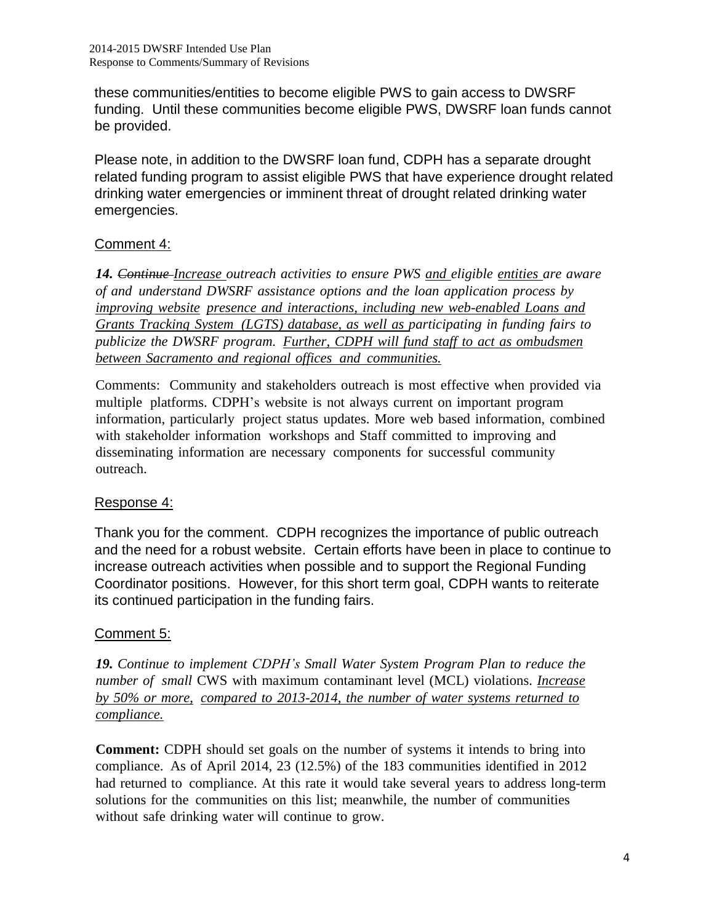these communities/entities to become eligible PWS to gain access to DWSRF funding. Until these communities become eligible PWS, DWSRF loan funds cannot be provided.

Please note, in addition to the DWSRF loan fund, CDPH has a separate drought related funding program to assist eligible PWS that have experience drought related drinking water emergencies or imminent threat of drought related drinking water emergencies.

# Comment 4:

*14. Continue Increase outreach activities to ensure PWS and eligible entities are aware of and understand DWSRF assistance options and the loan application process by improving website presence and interactions, including new web-enabled Loans and Grants Tracking System (LGTS) database, as well as participating in funding fairs to publicize the DWSRF program. Further, CDPH will fund staff to act as ombudsmen between Sacramento and regional offices and communities.*

Comments: Community and stakeholders outreach is most effective when provided via multiple platforms. CDPH's website is not always current on important program information, particularly project status updates. More web based information, combined with stakeholder information workshops and Staff committed to improving and disseminating information are necessary components for successful community outreach.

# Response 4:

Thank you for the comment. CDPH recognizes the importance of public outreach and the need for a robust website. Certain efforts have been in place to continue to increase outreach activities when possible and to support the Regional Funding Coordinator positions. However, for this short term goal, CDPH wants to reiterate its continued participation in the funding fairs.

# Comment 5:

*19. Continue to implement CDPH's Small Water System Program Plan to reduce the number of small* CWS with maximum contaminant level (MCL) violations. *Increase by 50% or more, compared to 2013-2014, the number of water systems returned to compliance.*

**Comment:** CDPH should set goals on the number of systems it intends to bring into compliance. As of April 2014, 23 (12.5%) of the 183 communities identified in 2012 had returned to compliance. At this rate it would take several years to address long-term solutions for the communities on this list; meanwhile, the number of communities without safe drinking water will continue to grow.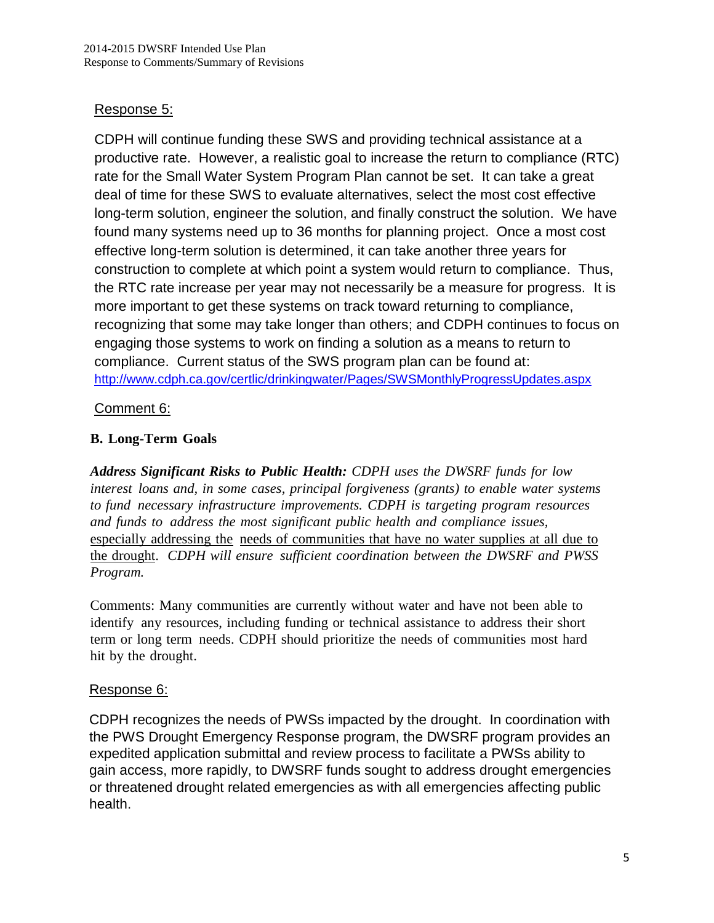# Response 5:

CDPH will continue funding these SWS and providing technical assistance at a productive rate. However, a realistic goal to increase the return to compliance (RTC) rate for the Small Water System Program Plan cannot be set. It can take a great deal of time for these SWS to evaluate alternatives, select the most cost effective long-term solution, engineer the solution, and finally construct the solution. We have found many systems need up to 36 months for planning project. Once a most cost effective long-term solution is determined, it can take another three years for construction to complete at which point a system would return to compliance. Thus, the RTC rate increase per year may not necessarily be a measure for progress. It is more important to get these systems on track toward returning to compliance, recognizing that some may take longer than others; and CDPH continues to focus on engaging those systems to work on finding a solution as a means to return to compliance. Current status of the SWS program plan can be found at: <http://www.cdph.ca.gov/certlic/drinkingwater/Pages/SWSMonthlyProgressUpdates.aspx>

# Comment 6:

# **B. Long-Term Goals**

*Address Significant Risks to Public Health: CDPH uses the DWSRF funds for low interest loans and, in some cases, principal forgiveness (grants) to enable water systems to fund necessary infrastructure improvements. CDPH is targeting program resources and funds to address the most significant public health and compliance issues,* especially addressing the needs of communities that have no water supplies at all due to the drought. *CDPH will ensure sufficient coordination between the DWSRF and PWSS Program.*

Comments: Many communities are currently without water and have not been able to identify any resources, including funding or technical assistance to address their short term or long term needs. CDPH should prioritize the needs of communities most hard hit by the drought.

# Response 6:

CDPH recognizes the needs of PWSs impacted by the drought. In coordination with the PWS Drought Emergency Response program, the DWSRF program provides an expedited application submittal and review process to facilitate a PWSs ability to gain access, more rapidly, to DWSRF funds sought to address drought emergencies or threatened drought related emergencies as with all emergencies affecting public health.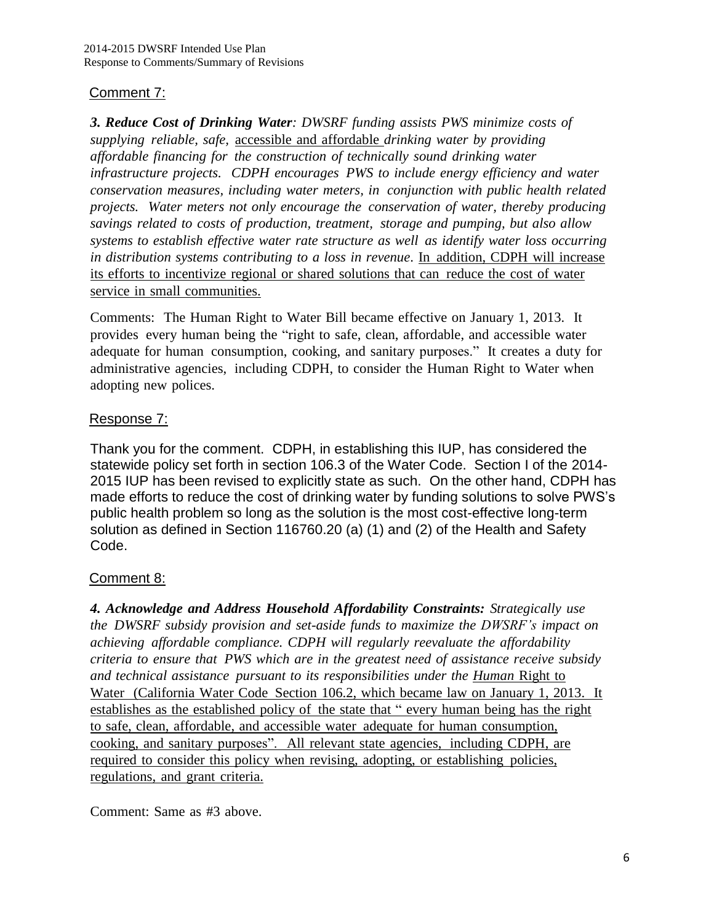### Comment 7:

*3. Reduce Cost of Drinking Water: DWSRF funding assists PWS minimize costs of supplying reliable, safe,* accessible and affordable *drinking water by providing affordable financing for the construction of technically sound drinking water infrastructure projects. CDPH encourages PWS to include energy efficiency and water conservation measures, including water meters, in conjunction with public health related projects. Water meters not only encourage the conservation of water, thereby producing savings related to costs of production, treatment, storage and pumping, but also allow systems to establish effective water rate structure as well as identify water loss occurring in distribution systems contributing to a loss in revenue*. In addition, CDPH will increase its efforts to incentivize regional or shared solutions that can reduce the cost of water service in small communities.

Comments: The Human Right to Water Bill became effective on January 1, 2013. It provides every human being the "right to safe, clean, affordable, and accessible water adequate for human consumption, cooking, and sanitary purposes." It creates a duty for administrative agencies, including CDPH, to consider the Human Right to Water when adopting new polices.

### Response 7:

Thank you for the comment. CDPH, in establishing this IUP, has considered the statewide policy set forth in section 106.3 of the Water Code. Section I of the 2014- 2015 IUP has been revised to explicitly state as such. On the other hand, CDPH has made efforts to reduce the cost of drinking water by funding solutions to solve PWS's public health problem so long as the solution is the most cost-effective long-term solution as defined in Section 116760.20 (a) (1) and (2) of the Health and Safety Code.

#### Comment 8:

*4. Acknowledge and Address Household Affordability Constraints: Strategically use the DWSRF subsidy provision and set-aside funds to maximize the DWSRF's impact on achieving affordable compliance. CDPH will regularly reevaluate the affordability criteria to ensure that PWS which are in the greatest need of assistance receive subsidy and technical assistance pursuant to its responsibilities under the Human* Right to Water (California Water Code Section 106.2, which became law on January 1, 2013. It establishes as the established policy of the state that " every human being has the right to safe, clean, affordable, and accessible water adequate for human consumption, cooking, and sanitary purposes". All relevant state agencies, including CDPH, are required to consider this policy when revising, adopting, or establishing policies, regulations, and grant criteria.

Comment: Same as #3 above.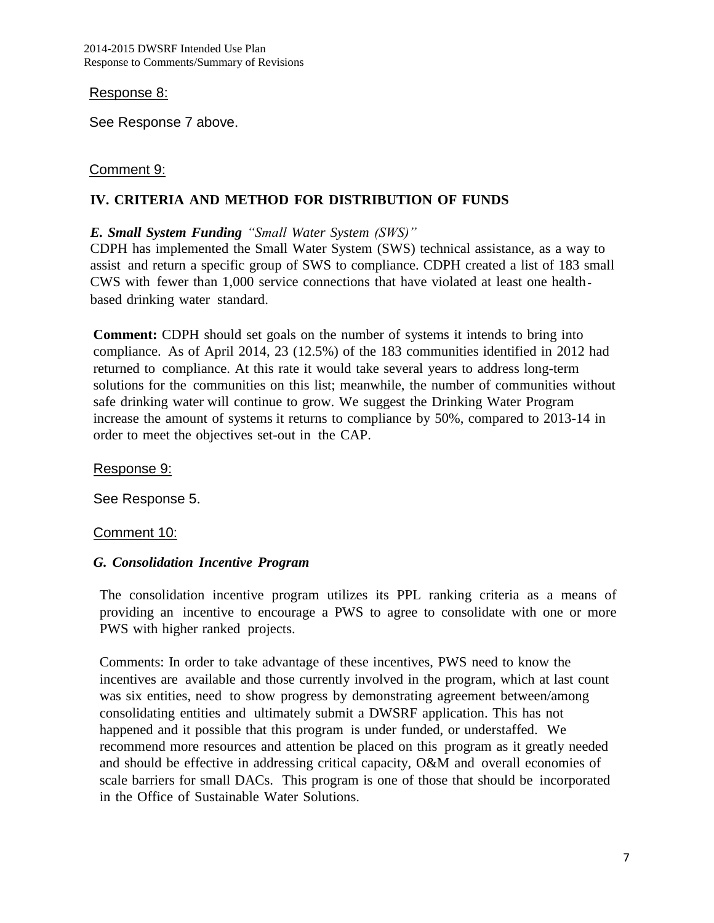#### Response 8:

See Response 7 above.

#### Comment 9:

#### **IV. CRITERIA AND METHOD FOR DISTRIBUTION OF FUNDS**

#### *E. Small System Funding "Small Water System (SWS)"*

CDPH has implemented the Small Water System (SWS) technical assistance, as a way to assist and return a specific group of SWS to compliance. CDPH created a list of 183 small CWS with fewer than 1,000 service connections that have violated at least one health‐ based drinking water standard.

**Comment:** CDPH should set goals on the number of systems it intends to bring into compliance. As of April 2014, 23 (12.5%) of the 183 communities identified in 2012 had returned to compliance. At this rate it would take several years to address long-term solutions for the communities on this list; meanwhile, the number of communities without safe drinking water will continue to grow. We suggest the Drinking Water Program increase the amount of systems it returns to compliance by 50%, compared to 2013-14 in order to meet the objectives set-out in the CAP.

Response 9:

See Response 5.

#### Comment 10:

#### *G. Consolidation Incentive Program*

The consolidation incentive program utilizes its PPL ranking criteria as a means of providing an incentive to encourage a PWS to agree to consolidate with one or more PWS with higher ranked projects.

Comments: In order to take advantage of these incentives, PWS need to know the incentives are available and those currently involved in the program, which at last count was six entities, need to show progress by demonstrating agreement between/among consolidating entities and ultimately submit a DWSRF application. This has not happened and it possible that this program is under funded, or understaffed. We recommend more resources and attention be placed on this program as it greatly needed and should be effective in addressing critical capacity, O&M and overall economies of scale barriers for small DACs. This program is one of those that should be incorporated in the Office of Sustainable Water Solutions.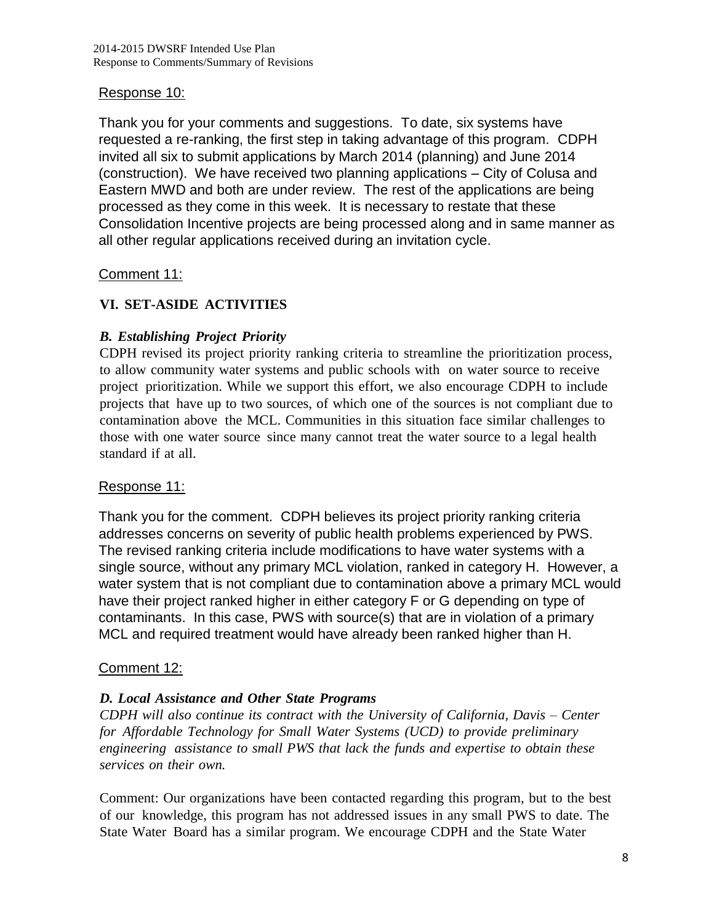#### Response 10:

Thank you for your comments and suggestions. To date, six systems have requested a re-ranking, the first step in taking advantage of this program. CDPH invited all six to submit applications by March 2014 (planning) and June 2014 (construction). We have received two planning applications – City of Colusa and Eastern MWD and both are under review. The rest of the applications are being processed as they come in this week. It is necessary to restate that these Consolidation Incentive projects are being processed along and in same manner as all other regular applications received during an invitation cycle.

### Comment 11:

### **VI. SET-ASIDE ACTIVITIES**

#### *B. Establishing Project Priority*

CDPH revised its project priority ranking criteria to streamline the prioritization process, to allow community water systems and public schools with on water source to receive project prioritization. While we support this effort, we also encourage CDPH to include projects that have up to two sources, of which one of the sources is not compliant due to contamination above the MCL. Communities in this situation face similar challenges to those with one water source since many cannot treat the water source to a legal health standard if at all.

#### Response 11:

Thank you for the comment. CDPH believes its project priority ranking criteria addresses concerns on severity of public health problems experienced by PWS. The revised ranking criteria include modifications to have water systems with a single source, without any primary MCL violation, ranked in category H. However, a water system that is not compliant due to contamination above a primary MCL would have their project ranked higher in either category F or G depending on type of contaminants. In this case, PWS with source(s) that are in violation of a primary MCL and required treatment would have already been ranked higher than H.

#### Comment 12:

#### *D. Local Assistance and Other State Programs*

*CDPH will also continue its contract with the University of California, Davis – Center for Affordable Technology for Small Water Systems (UCD) to provide preliminary engineering assistance to small PWS that lack the funds and expertise to obtain these services on their own.*

Comment: Our organizations have been contacted regarding this program, but to the best of our knowledge, this program has not addressed issues in any small PWS to date. The State Water Board has a similar program. We encourage CDPH and the State Water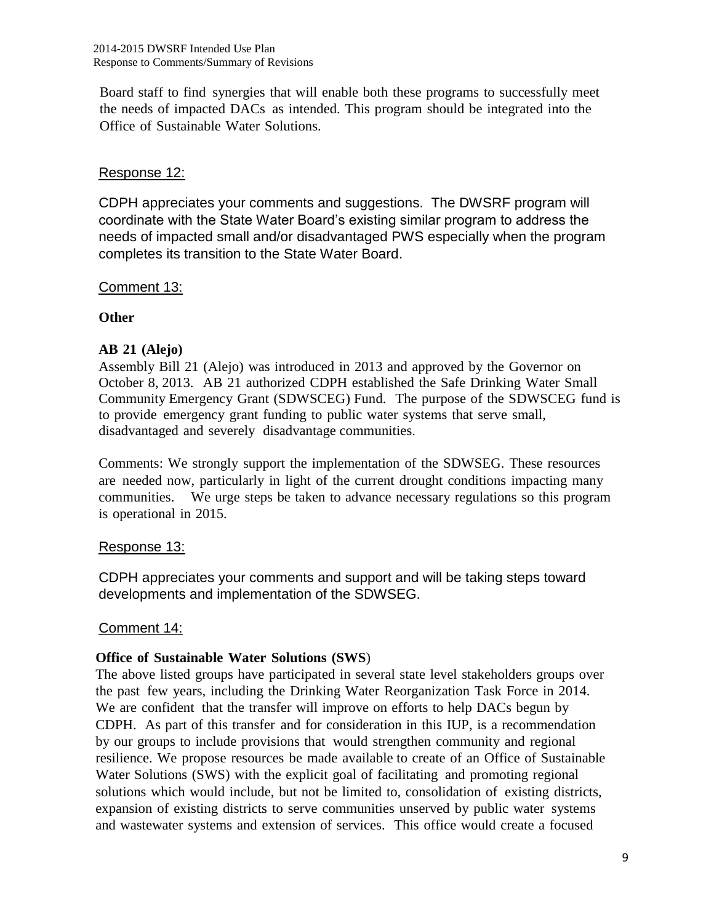Board staff to find synergies that will enable both these programs to successfully meet the needs of impacted DACs as intended. This program should be integrated into the Office of Sustainable Water Solutions.

### Response 12:

CDPH appreciates your comments and suggestions. The DWSRF program will coordinate with the State Water Board's existing similar program to address the needs of impacted small and/or disadvantaged PWS especially when the program completes its transition to the State Water Board.

### Comment 13:

#### **Other**

#### **AB 21 (Alejo)**

Assembly Bill 21 (Alejo) was introduced in 2013 and approved by the Governor on October 8, 2013. AB 21 authorized CDPH established the Safe Drinking Water Small Community Emergency Grant (SDWSCEG) Fund. The purpose of the SDWSCEG fund is to provide emergency grant funding to public water systems that serve small, disadvantaged and severely disadvantage communities.

Comments: We strongly support the implementation of the SDWSEG. These resources are needed now, particularly in light of the current drought conditions impacting many communities. We urge steps be taken to advance necessary regulations so this program is operational in 2015.

#### Response 13:

CDPH appreciates your comments and support and will be taking steps toward developments and implementation of the SDWSEG.

#### Comment 14:

#### **Office of Sustainable Water Solutions (SWS**)

The above listed groups have participated in several state level stakeholders groups over the past few years, including the Drinking Water Reorganization Task Force in 2014. We are confident that the transfer will improve on efforts to help DACs begun by CDPH. As part of this transfer and for consideration in this IUP, is a recommendation by our groups to include provisions that would strengthen community and regional resilience. We propose resources be made available to create of an Office of Sustainable Water Solutions (SWS) with the explicit goal of facilitating and promoting regional solutions which would include, but not be limited to, consolidation of existing districts, expansion of existing districts to serve communities unserved by public water systems and wastewater systems and extension of services. This office would create a focused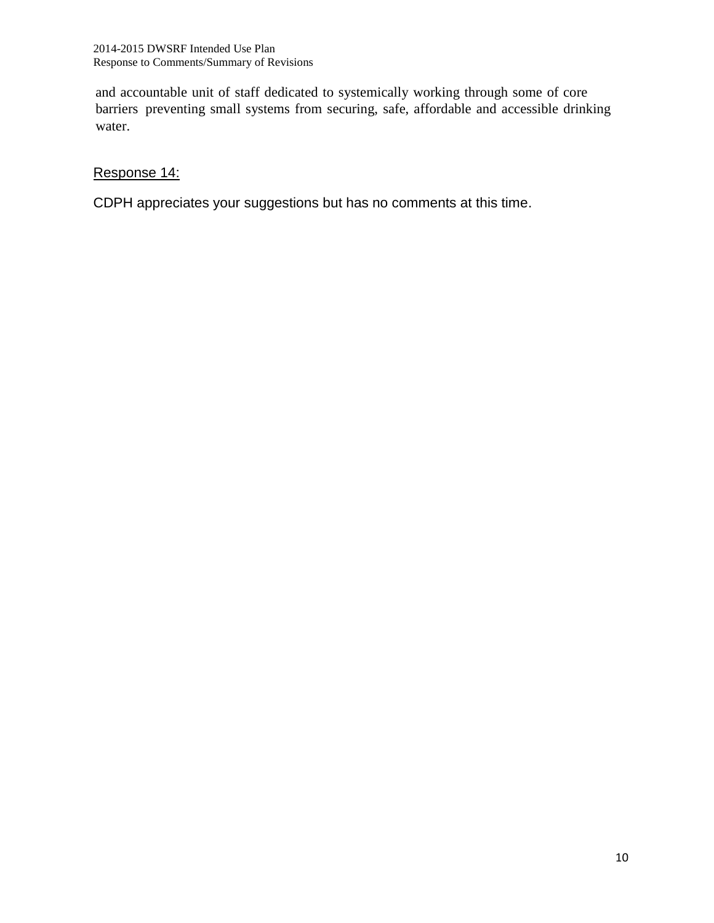and accountable unit of staff dedicated to systemically working through some of core barriers preventing small systems from securing, safe, affordable and accessible drinking water.

# Response 14:

CDPH appreciates your suggestions but has no comments at this time.